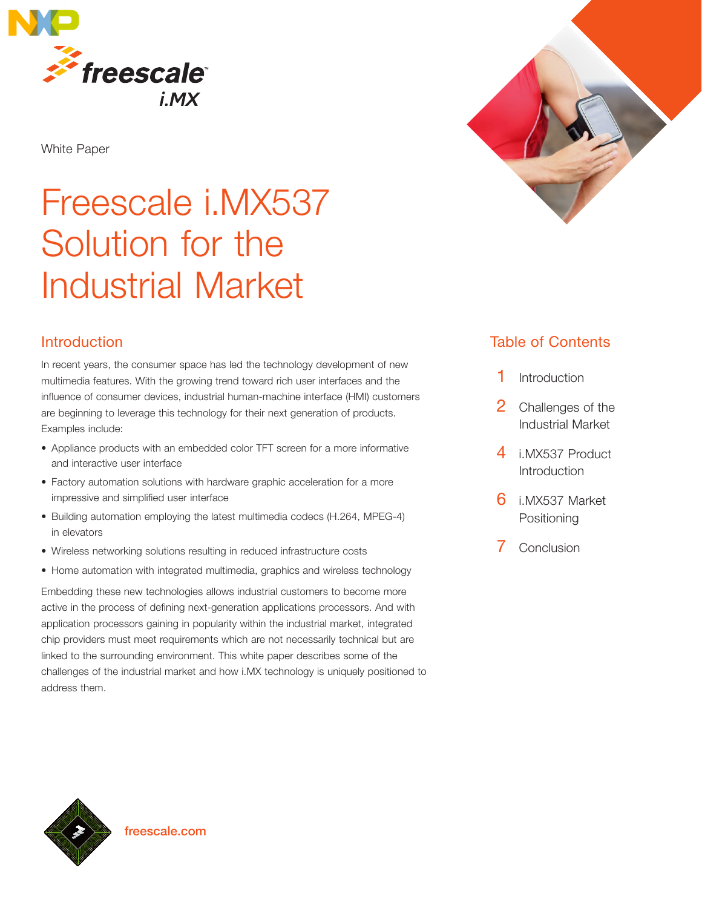

White Paper

# Freescale i.MX537 Solution for the Industrial Market

# Introduction

In recent years, the consumer space has led the technology development of new multimedia features. With the growing trend toward rich user interfaces and the influence of consumer devices, industrial human-machine interface (HMI) customers are beginning to leverage this technology for their next generation of products. Examples include:

- Appliance products with an embedded color TFT screen for a more informative and interactive user interface
- Factory automation solutions with hardware graphic acceleration for a more impressive and simplified user interface
- Building automation employing the latest multimedia codecs (H.264, MPEG-4) in elevators
- Wireless networking solutions resulting in reduced infrastructure costs
- Home automation with integrated multimedia, graphics and wireless technology

Embedding these new technologies allows industrial customers to become more active in the process of defining next-generation applications processors. And with application processors gaining in popularity within the industrial market, integrated chip providers must meet requirements which are not necessarily technical but are linked to the surrounding environment. This white paper describes some of the challenges of the industrial market and how i.MX technology is uniquely positioned to address them.



# Table of Contents

- 1 Introduction
- 2 Challenges of the Industrial Market
- 4 i.MX537 Product Introduction
- 6 i.MX537 Market Positioning
- 7 Conclusion

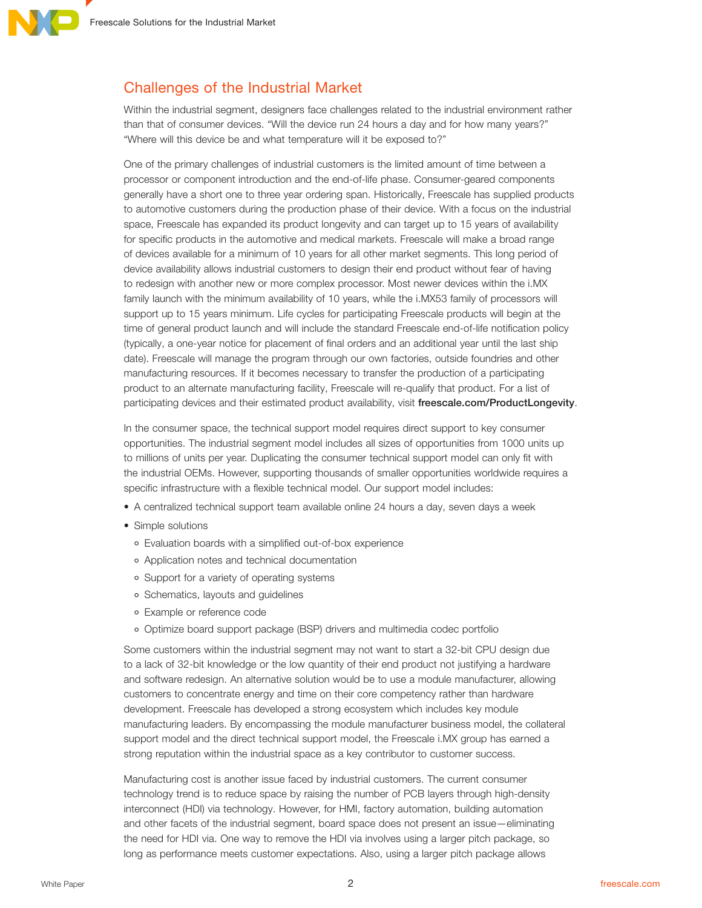# Challenges of the Industrial Market

Within the industrial segment, designers face challenges related to the industrial environment rather than that of consumer devices. "Will the device run 24 hours a day and for how many years?" "Where will this device be and what temperature will it be exposed to?"

One of the primary challenges of industrial customers is the limited amount of time between a processor or component introduction and the end-of-life phase. Consumer-geared components generally have a short one to three year ordering span. Historically, Freescale has supplied products to automotive customers during the production phase of their device. With a focus on the industrial space, Freescale has expanded its product longevity and can target up to 15 years of availability for specific products in the automotive and medical markets. Freescale will make a broad range of devices available for a minimum of 10 years for all other market segments. This long period of device availability allows industrial customers to design their end product without fear of having to redesign with another new or more complex processor. Most newer devices within the i.MX family launch with the minimum availability of 10 years, while the i.MX53 family of processors will support up to 15 years minimum. Life cycles for participating Freescale products will begin at the time of general product launch and will include the standard Freescale end-of-life notification policy (typically, a one-year notice for placement of final orders and an additional year until the last ship date). Freescale will manage the program through our own factories, outside foundries and other manufacturing resources. If it becomes necessary to transfer the production of a participating product to an alternate manufacturing facility, Freescale will re-qualify that product. For a list of participating devices and their estimated product availability, visit freescale.com/ProductLongevity.

In the consumer space, the technical support model requires direct support to key consumer opportunities. The industrial segment model includes all sizes of opportunities from 1000 units up to millions of units per year. Duplicating the consumer technical support model can only fit with the industrial OEMs. However, supporting thousands of smaller opportunities worldwide requires a specific infrastructure with a flexible technical model. Our support model includes:

- A centralized technical support team available online 24 hours a day, seven days a week
- Simple solutions
	- Evaluation boards with a simplified out-of-box experience
	- Application notes and technical documentation
	- Support for a variety of operating systems
	- o Schematics, layouts and guidelines
	- Example or reference code
	- Optimize board support package (BSP) drivers and multimedia codec portfolio

Some customers within the industrial segment may not want to start a 32-bit CPU design due to a lack of 32-bit knowledge or the low quantity of their end product not justifying a hardware and software redesign. An alternative solution would be to use a module manufacturer, allowing customers to concentrate energy and time on their core competency rather than hardware development. Freescale has developed a strong ecosystem which includes key module manufacturing leaders. By encompassing the module manufacturer business model, the collateral support model and the direct technical support model, the Freescale i.MX group has earned a strong reputation within the industrial space as a key contributor to customer success.

Manufacturing cost is another issue faced by industrial customers. The current consumer technology trend is to reduce space by raising the number of PCB layers through high-density interconnect (HDI) via technology. However, for HMI, factory automation, building automation and other facets of the industrial segment, board space does not present an issue—eliminating the need for HDI via. One way to remove the HDI via involves using a larger pitch package, so long as performance meets customer expectations. Also, using a larger pitch package allows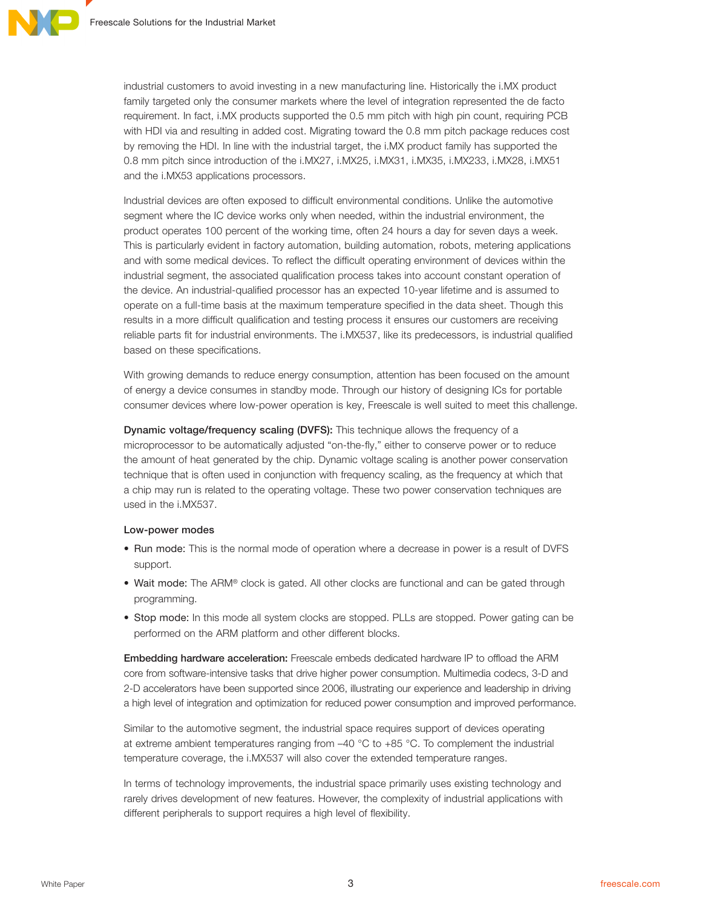industrial customers to avoid investing in a new manufacturing line. Historically the i.MX product family targeted only the consumer markets where the level of integration represented the de facto requirement. In fact, i.MX products supported the 0.5 mm pitch with high pin count, requiring PCB with HDI via and resulting in added cost. Migrating toward the 0.8 mm pitch package reduces cost by removing the HDI. In line with the industrial target, the i.MX product family has supported the 0.8 mm pitch since introduction of the i.MX27, i.MX25, i.MX31, i.MX35, i.MX233, i.MX28, i.MX51 and the i.MX53 applications processors.

Industrial devices are often exposed to difficult environmental conditions. Unlike the automotive segment where the IC device works only when needed, within the industrial environment, the product operates 100 percent of the working time, often 24 hours a day for seven days a week. This is particularly evident in factory automation, building automation, robots, metering applications and with some medical devices. To reflect the difficult operating environment of devices within the industrial segment, the associated qualification process takes into account constant operation of the device. An industrial-qualified processor has an expected 10-year lifetime and is assumed to operate on a full-time basis at the maximum temperature specified in the data sheet. Though this results in a more difficult qualification and testing process it ensures our customers are receiving reliable parts fit for industrial environments. The i.MX537, like its predecessors, is industrial qualified based on these specifications.

With growing demands to reduce energy consumption, attention has been focused on the amount of energy a device consumes in standby mode. Through our history of designing ICs for portable consumer devices where low-power operation is key, Freescale is well suited to meet this challenge.

Dynamic voltage/frequency scaling (DVFS): This technique allows the frequency of a microprocessor to be automatically adjusted "on-the-fly," either to conserve power or to reduce the amount of heat generated by the chip. Dynamic voltage scaling is another power conservation technique that is often used in conjunction with frequency scaling, as the frequency at which that a chip may run is related to the operating voltage. These two power conservation techniques are used in the i.MX537.

#### Low-power modes

- Run mode: This is the normal mode of operation where a decrease in power is a result of DVFS support.
- Wait mode: The ARM® clock is gated. All other clocks are functional and can be gated through programming.
- Stop mode: In this mode all system clocks are stopped. PLLs are stopped. Power gating can be performed on the ARM platform and other different blocks.

Embedding hardware acceleration: Freescale embeds dedicated hardware IP to offload the ARM core from software-intensive tasks that drive higher power consumption. Multimedia codecs, 3-D and 2-D accelerators have been supported since 2006, illustrating our experience and leadership in driving a high level of integration and optimization for reduced power consumption and improved performance.

Similar to the automotive segment, the industrial space requires support of devices operating at extreme ambient temperatures ranging from –40 °C to +85 °C. To complement the industrial temperature coverage, the i.MX537 will also cover the extended temperature ranges.

In terms of technology improvements, the industrial space primarily uses existing technology and rarely drives development of new features. However, the complexity of industrial applications with different peripherals to support requires a high level of flexibility.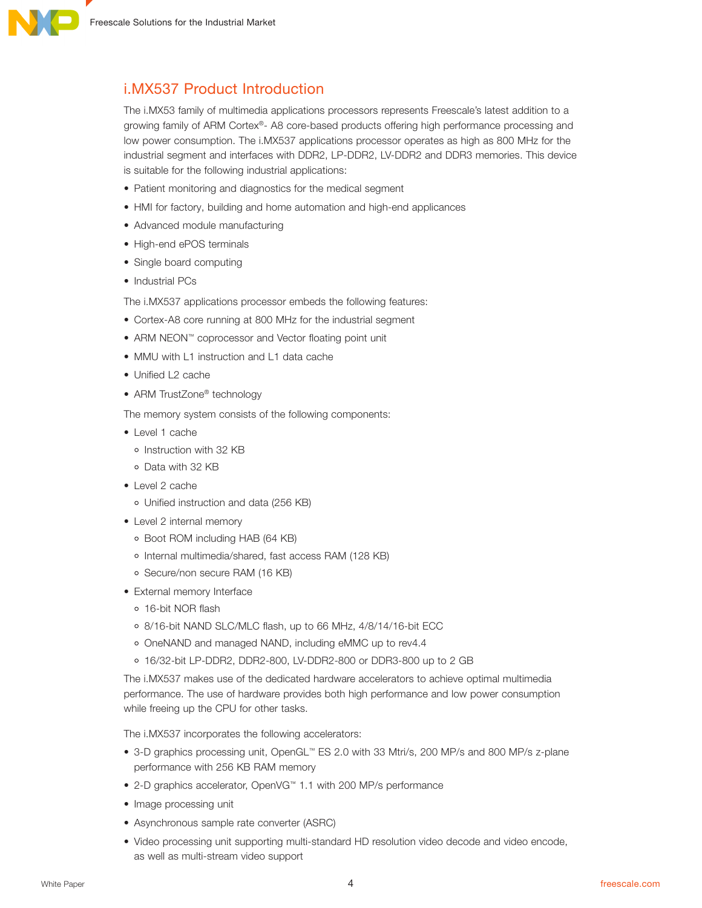

# i.MX537 Product Introduction

The i.MX53 family of multimedia applications processors represents Freescale's latest addition to a growing family of ARM Cortex®- A8 core-based products offering high performance processing and low power consumption. The i.MX537 applications processor operates as high as 800 MHz for the industrial segment and interfaces with DDR2, LP-DDR2, LV-DDR2 and DDR3 memories. This device is suitable for the following industrial applications:

- Patient monitoring and diagnostics for the medical segment
- HMI for factory, building and home automation and high-end applicances
- Advanced module manufacturing
- High-end ePOS terminals
- Single board computing
- Industrial PCs

The i.MX537 applications processor embeds the following features:

- Cortex-A8 core running at 800 MHz for the industrial segment
- ARM NEON™ coprocessor and Vector floating point unit
- MMU with L1 instruction and L1 data cache
- Unified L2 cache
- ARM TrustZone<sup>®</sup> technology

The memory system consists of the following components:

- Level 1 cache
- o Instruction with 32 KB
- Data with 32 KB
- Level 2 cache
	- Unified instruction and data (256 KB)
- Level 2 internal memory
	- Boot ROM including HAB (64 KB)
	- o Internal multimedia/shared, fast access RAM (128 KB)
	- Secure/non secure RAM (16 KB)
- External memory Interface
	- 16-bit NOR flash
	- 8/16-bit NAND SLC/MLC flash, up to 66 MHz, 4/8/14/16-bit ECC
	- OneNAND and managed NAND, including eMMC up to rev4.4
	- 16/32-bit LP-DDR2, DDR2-800, LV-DDR2-800 or DDR3-800 up to 2 GB

The i.MX537 makes use of the dedicated hardware accelerators to achieve optimal multimedia performance. The use of hardware provides both high performance and low power consumption while freeing up the CPU for other tasks.

The i.MX537 incorporates the following accelerators:

- 3-D graphics processing unit, OpenGL™ ES 2.0 with 33 Mtri/s, 200 MP/s and 800 MP/s z-plane performance with 256 KB RAM memory
- 2-D graphics accelerator, OpenVG™ 1.1 with 200 MP/s performance
- Image processing unit
- Asynchronous sample rate converter (ASRC)
- Video processing unit supporting multi-standard HD resolution video decode and video encode, as well as multi-stream video support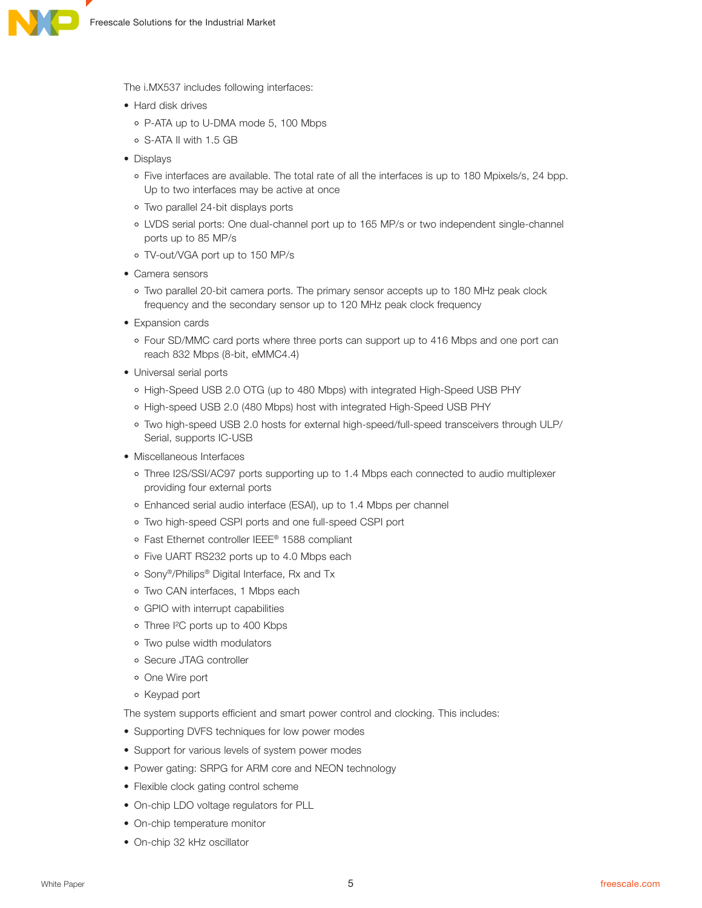

The i.MX537 includes following interfaces:

- Hard disk drives
	- P-ATA up to U-DMA mode 5, 100 Mbps
	- S-ATA II with 1.5 GB
- Displays
	- Five interfaces are available. The total rate of all the interfaces is up to 180 Mpixels/s, 24 bpp. Up to two interfaces may be active at once
	- Two parallel 24-bit displays ports
	- LVDS serial ports: One dual-channel port up to 165 MP/s or two independent single-channel ports up to 85 MP/s
	- TV-out/VGA port up to 150 MP/s
- Camera sensors
	- Two parallel 20-bit camera ports. The primary sensor accepts up to 180 MHz peak clock frequency and the secondary sensor up to 120 MHz peak clock frequency
- Expansion cards
	- Four SD/MMC card ports where three ports can support up to 416 Mbps and one port can reach 832 Mbps (8-bit, eMMC4.4)
- Universal serial ports
	- High-Speed USB 2.0 OTG (up to 480 Mbps) with integrated High-Speed USB PHY
	- High-speed USB 2.0 (480 Mbps) host with integrated High-Speed USB PHY
	- Two high-speed USB 2.0 hosts for external high-speed/full-speed transceivers through ULP/ Serial, supports IC-USB
- Miscellaneous Interfaces
	- o Three I2S/SSI/AC97 ports supporting up to 1.4 Mbps each connected to audio multiplexer providing four external ports
	- Enhanced serial audio interface (ESAI), up to 1.4 Mbps per channel
	- Two high-speed CSPI ports and one full-speed CSPI port
	- Fast Ethernet controller IEEE® 1588 compliant
	- Five UART RS232 ports up to 4.0 Mbps each
	- Sony®/Philips® Digital Interface, Rx and Tx
	- Two CAN interfaces, 1 Mbps each
	- GPIO with interrupt capabilities
	- Three I²C ports up to 400 Kbps
	- Two pulse width modulators
	- Secure JTAG controller
	- o One Wire port
	- Keypad port

The system supports efficient and smart power control and clocking. This includes:

- Supporting DVFS techniques for low power modes
- Support for various levels of system power modes
- Power gating: SRPG for ARM core and NEON technology
- Flexible clock gating control scheme
- On-chip LDO voltage regulators for PLL
- On-chip temperature monitor
- On-chip 32 kHz oscillator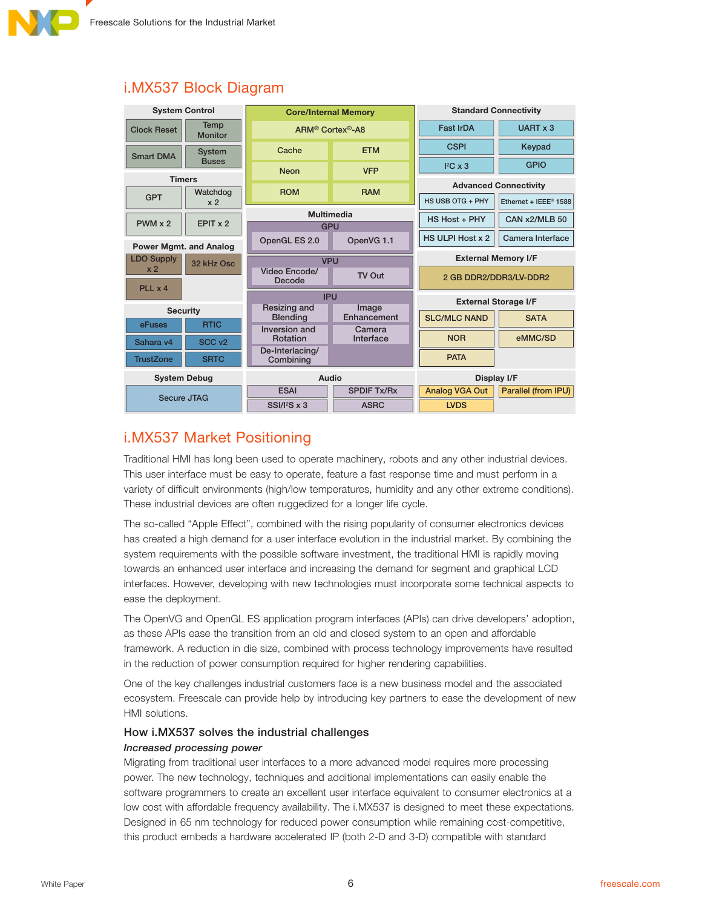

| <b>System Control</b>                                        |                            | <b>Core/Internal Memory</b>              |                      | <b>Standard Connectivity</b> |                                   |
|--------------------------------------------------------------|----------------------------|------------------------------------------|----------------------|------------------------------|-----------------------------------|
| Temp<br><b>Clock Reset</b><br><b>Monitor</b>                 |                            | ARM <sup>®</sup> Cortex <sup>®</sup> -A8 |                      | <b>Fast IrDA</b>             | UART x 3                          |
| <b>Smart DMA</b>                                             | <b>System</b>              | Cache                                    | <b>ETM</b>           | <b>CSPI</b>                  | Keypad                            |
|                                                              | <b>Buses</b>               | <b>Neon</b>                              | <b>VFP</b>           | ${}^{12}C \times 3$          | <b>GPIO</b>                       |
| <b>Timers</b>                                                |                            |                                          |                      | <b>Advanced Connectivity</b> |                                   |
| <b>GPT</b>                                                   | Watchdog<br>x <sub>2</sub> | <b>ROM</b>                               | <b>RAM</b>           |                              |                                   |
|                                                              |                            |                                          |                      | HS USB OTG + PHY             | Ethernet + IEEE <sup>®</sup> 1588 |
| $PWM \times 2$                                               | EPIT x 2                   | <b>Multimedia</b><br><b>GPU</b>          |                      | HS Host + PHY                | CAN x2/MLB 50                     |
|                                                              |                            |                                          |                      | HS ULPI Host x 2             | Camera Interface                  |
| <b>Power Mgmt. and Analog</b>                                |                            | OpenGL ES 2.0                            | OpenVG 1.1           |                              |                                   |
| <b>LDO Supply</b><br>32 kHz Osc<br>x <sub>2</sub><br>PLL x 4 |                            | <b>VPU</b>                               |                      | <b>External Memory I/F</b>   |                                   |
|                                                              |                            | Video Encode/<br>Decode                  | TV Out               | 2 GB DDR2/DDR3/LV-DDR2       |                                   |
|                                                              |                            |                                          |                      |                              |                                   |
|                                                              |                            | <b>IPU</b>                               |                      | <b>External Storage I/F</b>  |                                   |
| <b>Security</b>                                              |                            | Resizing and<br><b>Blending</b>          | Image<br>Enhancement | <b>SLC/MLC NAND</b>          | <b>SATA</b>                       |
| eFuses                                                       | <b>RTIC</b>                | Inversion and                            | Camera               |                              |                                   |
| Sahara v4                                                    | SCC <sub>v2</sub>          | Rotation                                 | Interface            | <b>NOR</b>                   | eMMC/SD                           |
| <b>TrustZone</b>                                             | <b>SRTC</b>                | De-Interlacing/<br>Combining             |                      | <b>PATA</b>                  |                                   |
| <b>System Debug</b>                                          |                            | Audio                                    |                      | Display I/F                  |                                   |
| <b>Secure JTAG</b>                                           |                            | <b>ESAI</b>                              | <b>SPDIF Tx/Rx</b>   | <b>Analog VGA Out</b>        | Parallel (from IPU)               |
|                                                              |                            | $SSI/I2S \times 3$                       | <b>ASRC</b>          | <b>LVDS</b>                  |                                   |

# i.MX537 Block Diagram

# i.MX537 Market Positioning

Traditional HMI has long been used to operate machinery, robots and any other industrial devices. This user interface must be easy to operate, feature a fast response time and must perform in a variety of difficult environments (high/low temperatures, humidity and any other extreme conditions). These industrial devices are often ruggedized for a longer life cycle.

The so-called "Apple Effect", combined with the rising popularity of consumer electronics devices has created a high demand for a user interface evolution in the industrial market. By combining the system requirements with the possible software investment, the traditional HMI is rapidly moving towards an enhanced user interface and increasing the demand for segment and graphical LCD interfaces. However, developing with new technologies must incorporate some technical aspects to ease the deployment.

The OpenVG and OpenGL ES application program interfaces (APIs) can drive developers' adoption, as these APIs ease the transition from an old and closed system to an open and affordable framework. A reduction in die size, combined with process technology improvements have resulted in the reduction of power consumption required for higher rendering capabilities.

One of the key challenges industrial customers face is a new business model and the associated ecosystem. Freescale can provide help by introducing key partners to ease the development of new HMI solutions.

## How i.MX537 solves the industrial challenges

## Increased processing power

Migrating from traditional user interfaces to a more advanced model requires more processing power. The new technology, techniques and additional implementations can easily enable the software programmers to create an excellent user interface equivalent to consumer electronics at a low cost with affordable frequency availability. The i.MX537 is designed to meet these expectations. Designed in 65 nm technology for reduced power consumption while remaining cost-competitive, this product embeds a hardware accelerated IP (both 2-D and 3-D) compatible with standard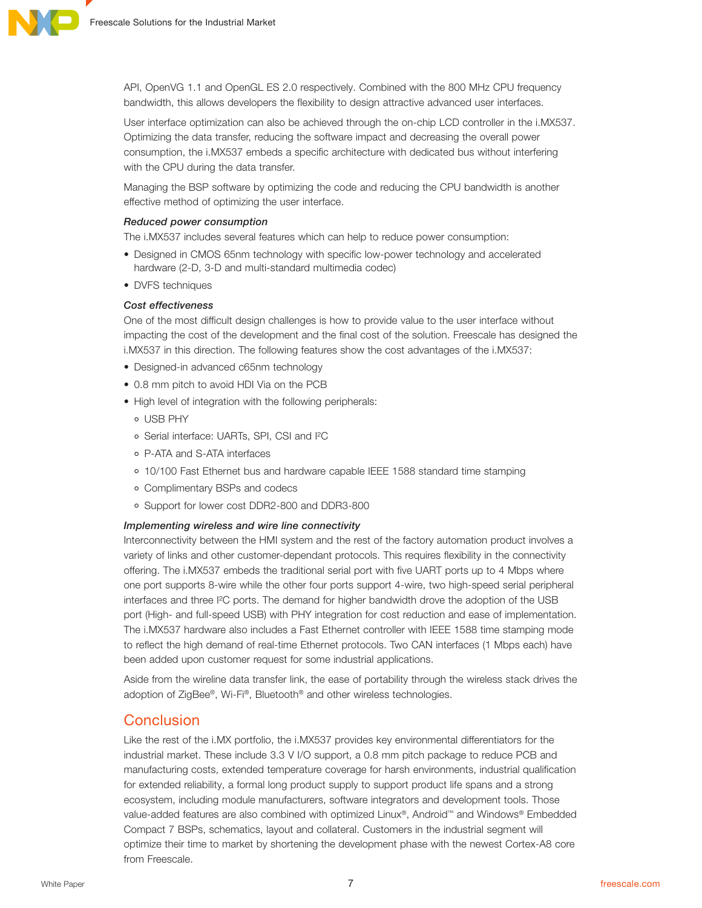

API, OpenVG 1.1 and OpenGL ES 2.0 respectively. Combined with the 800 MHz CPU frequency bandwidth, this allows developers the flexibility to design attractive advanced user interfaces.

User interface optimization can also be achieved through the on-chip LCD controller in the i.MX537. Optimizing the data transfer, reducing the software impact and decreasing the overall power consumption, the i.MX537 embeds a specific architecture with dedicated bus without interfering with the CPU during the data transfer.

Managing the BSP software by optimizing the code and reducing the CPU bandwidth is another effective method of optimizing the user interface.

#### Reduced power consumption

The i.MX537 includes several features which can help to reduce power consumption:

- Designed in CMOS 65nm technology with specific low-power technology and accelerated hardware (2-D, 3-D and multi-standard multimedia codec)
- DVFS techniques

#### Cost effectiveness

One of the most difficult design challenges is how to provide value to the user interface without impacting the cost of the development and the final cost of the solution. Freescale has designed the i.MX537 in this direction. The following features show the cost advantages of the i.MX537:

- Designed-in advanced c65nm technology
- 0.8 mm pitch to avoid HDI Via on the PCB
- High level of integration with the following peripherals:
	- USB PHY
	- Serial interface: UARTs, SPI, CSI and I²C
	- P-ATA and S-ATA interfaces
	- 10/100 Fast Ethernet bus and hardware capable IEEE 1588 standard time stamping
	- Complimentary BSPs and codecs
	- Support for lower cost DDR2-800 and DDR3-800

#### Implementing wireless and wire line connectivity

Interconnectivity between the HMI system and the rest of the factory automation product involves a variety of links and other customer-dependant protocols. This requires flexibility in the connectivity offering. The i.MX537 embeds the traditional serial port with five UART ports up to 4 Mbps where one port supports 8-wire while the other four ports support 4-wire, two high-speed serial peripheral interfaces and three I²C ports. The demand for higher bandwidth drove the adoption of the USB port (High- and full-speed USB) with PHY integration for cost reduction and ease of implementation. The i.MX537 hardware also includes a Fast Ethernet controller with IEEE 1588 time stamping mode to reflect the high demand of real-time Ethernet protocols. Two CAN interfaces (1 Mbps each) have been added upon customer request for some industrial applications.

Aside from the wireline data transfer link, the ease of portability through the wireless stack drives the adoption of ZigBee®, Wi-Fi®, Bluetooth® and other wireless technologies.

## Conclusion

Like the rest of the i.MX portfolio, the i.MX537 provides key environmental differentiators for the industrial market. These include 3.3 V I/O support, a 0.8 mm pitch package to reduce PCB and manufacturing costs, extended temperature coverage for harsh environments, industrial qualification for extended reliability, a formal long product supply to support product life spans and a strong ecosystem, including module manufacturers, software integrators and development tools. Those value-added features are also combined with optimized Linux®, Android™ and Windows® Embedded Compact 7 BSPs, schematics, layout and collateral. Customers in the industrial segment will optimize their time to market by shortening the development phase with the newest Cortex-A8 core from Freescale.